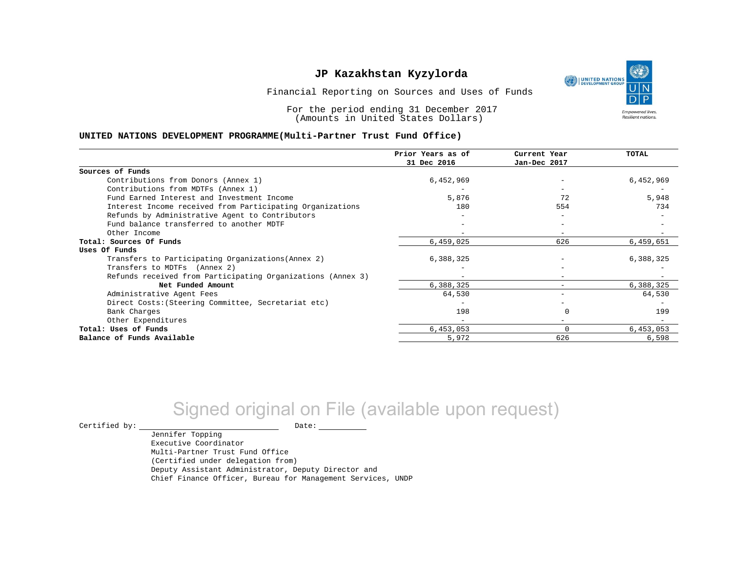UNITED NATIONS **Empowered lives** Resilient nations.

Financial Reporting on Sources and Uses of Funds

For the period ending 31 December 2017 (Amounts in United States Dollars)

#### **UNITED NATIONS DEVELOPMENT PROGRAMME(Multi-Partner Trust Fund Office)**

|                                                             | Prior Years as of<br>31 Dec 2016 | Current Year<br>Jan-Dec 2017 | <b>TOTAL</b> |
|-------------------------------------------------------------|----------------------------------|------------------------------|--------------|
|                                                             |                                  |                              |              |
| Sources of Funds                                            |                                  |                              |              |
| Contributions from Donors (Annex 1)                         | 6,452,969                        |                              | 6,452,969    |
| Contributions from MDTFs (Annex 1)                          |                                  |                              |              |
| Fund Earned Interest and Investment Income                  | 5,876                            | 72                           | 5,948        |
| Interest Income received from Participating Organizations   | 180                              | 554                          | 734          |
| Refunds by Administrative Agent to Contributors             |                                  |                              |              |
| Fund balance transferred to another MDTF                    |                                  |                              |              |
| Other Income                                                |                                  | $\overline{\phantom{a}}$     |              |
| Total: Sources Of Funds                                     | 6,459,025                        | 626                          | 6,459,651    |
| Uses Of Funds                                               |                                  |                              |              |
| Transfers to Participating Organizations (Annex 2)          | 6,388,325                        |                              | 6,388,325    |
| Transfers to MDTFs (Annex 2)                                |                                  |                              |              |
| Refunds received from Participating Organizations (Annex 3) | $-$                              | $\qquad \qquad \blacksquare$ |              |
| Net Funded Amount                                           | 6,388,325                        |                              | 6,388,325    |
| Administrative Agent Fees                                   | 64,530                           | -                            | 64,530       |
| Direct Costs: (Steering Committee, Secretariat etc)         |                                  |                              |              |
| Bank Charges                                                | 198                              |                              | 199          |
| Other Expenditures                                          |                                  |                              |              |
| Total: Uses of Funds                                        | 6,453,053                        |                              | 6,453,053    |
| Balance of Funds Available                                  | 5,972                            | 626                          | 6,598        |

# Signed original on File (available upon request)

 $\begin{tabular}{ccccc} \multicolumn{2}{c|}{\textbf{Certified by:}} & \multicolumn{2}{c|}{\textbf{Date:}} \end{tabular}$ 

Jennifer Topping Executive Coordinator Multi-Partner Trust Fund Office (Certified under delegation from) Deputy Assistant Administrator, Deputy Director and Chief Finance Officer, Bureau for Management Services, UNDP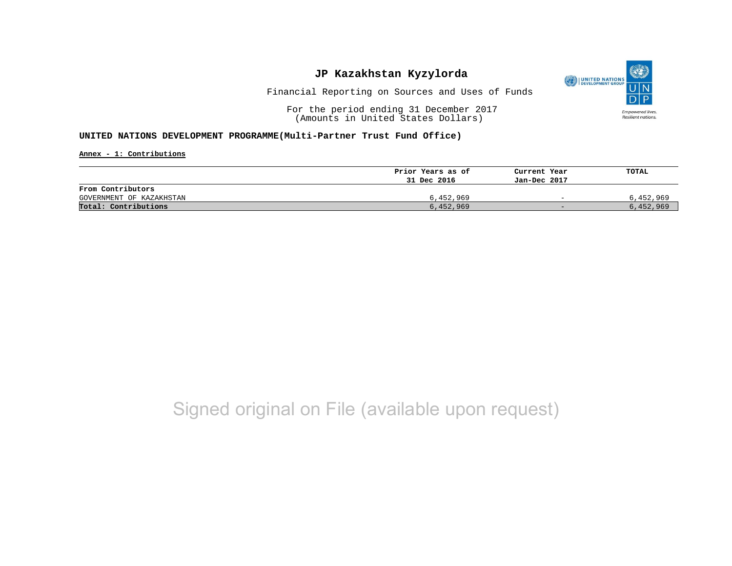

Financial Reporting on Sources and Uses of Funds

For the period ending 31 December 2017 (Amounts in United States Dollars)

#### **UNITED NATIONS DEVELOPMENT PROGRAMME(Multi-Partner Trust Fund Office)**

**Annex - 1: Contributions**

|                          | Prior Years as of | Current Year             | TOTAL     |
|--------------------------|-------------------|--------------------------|-----------|
|                          | 31 Dec 2016       | Jan-Dec 2017             |           |
| From Contributors        |                   |                          |           |
| GOVERNMENT OF KAZAKHSTAN | 6,452,969         | $\overline{\phantom{0}}$ | 6,452,969 |
| Total: Contributions     | 6,452,969         | $-$                      | 6,452,969 |

## Signed original on File (available upon request)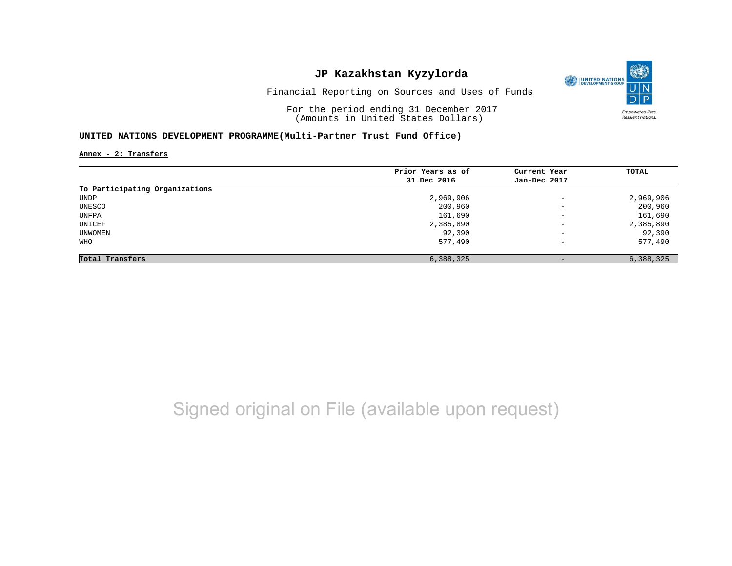

Financial Reporting on Sources and Uses of Funds

For the period ending 31 December 2017 (Amounts in United States Dollars)

#### **UNITED NATIONS DEVELOPMENT PROGRAMME(Multi-Partner Trust Fund Office)**

**Annex - 2: Transfers**

|                                | Prior Years as of | Current Year             | TOTAL     |
|--------------------------------|-------------------|--------------------------|-----------|
|                                | 31 Dec 2016       | Jan-Dec 2017             |           |
| To Participating Organizations |                   |                          |           |
| UNDP                           | 2,969,906         | $\overline{\phantom{0}}$ | 2,969,906 |
| UNESCO                         | 200,960           | $\overline{\phantom{0}}$ | 200,960   |
| UNFPA                          | 161,690           | $\overline{\phantom{a}}$ | 161,690   |
| UNICEF                         | 2,385,890         | $\overline{\phantom{m}}$ | 2,385,890 |
| UNWOMEN                        | 92,390            | $\qquad \qquad -$        | 92,390    |
| WHO                            | 577,490           | $\qquad \qquad -$        | 577,490   |
| Total Transfers                | 6,388,325         | $\overline{\phantom{0}}$ | 6,388,325 |

# Signed original on File (available upon request)